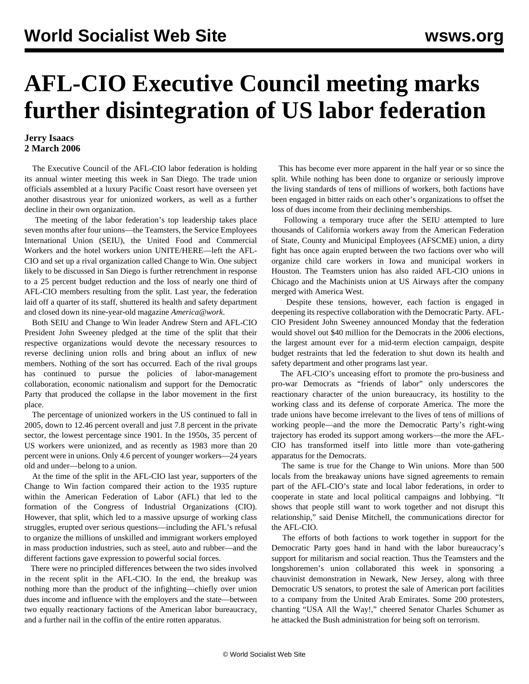## **AFL-CIO Executive Council meeting marks further disintegration of US labor federation**

## **Jerry Isaacs 2 March 2006**

 The Executive Council of the AFL-CIO labor federation is holding its annual winter meeting this week in San Diego. The trade union officials assembled at a luxury Pacific Coast resort have overseen yet another disastrous year for unionized workers, as well as a further decline in their own organization.

 The meeting of the labor federation's top leadership takes place seven months after four unions—the Teamsters, the Service Employees International Union (SEIU), the United Food and Commercial Workers and the hotel workers union UNITE/HERE—left the AFL-CIO and set up a rival organization called Change to Win. One subject likely to be discussed in San Diego is further retrenchment in response to a 25 percent budget reduction and the loss of nearly one third of AFL-CIO members resulting from the split. Last year, the federation laid off a quarter of its staff, shuttered its health and safety department and closed down its nine-year-old magazine *America@work*.

 Both SEIU and Change to Win leader Andrew Stern and AFL-CIO President John Sweeney pledged at the time of the split that their respective organizations would devote the necessary resources to reverse declining union rolls and bring about an influx of new members. Nothing of the sort has occurred. Each of the rival groups has continued to pursue the policies of labor-management collaboration, economic nationalism and support for the Democratic Party that produced the collapse in the labor movement in the first place.

 The percentage of unionized workers in the US continued to fall in 2005, down to 12.46 percent overall and just 7.8 percent in the private sector, the lowest percentage since 1901. In the 1950s, 35 percent of US workers were unionized, and as recently as 1983 more than 20 percent were in unions. Only 4.6 percent of younger workers—24 years old and under—belong to a union.

 At the time of the split in the AFL-CIO last year, supporters of the Change to Win faction compared their action to the 1935 rupture within the American Federation of Labor (AFL) that led to the formation of the Congress of Industrial Organizations (CIO). However, that split, which led to a massive upsurge of working class struggles, erupted over serious questions—including the AFL's refusal to organize the millions of unskilled and immigrant workers employed in mass production industries, such as steel, auto and rubber—and the different factions gave expression to powerful social forces.

 There were no principled differences between the two sides involved in the recent split in the AFL-CIO. In the end, the breakup was nothing more than the product of the infighting—chiefly over union dues income and influence with the employers and the state—between two equally reactionary factions of the American labor bureaucracy, and a further nail in the coffin of the entire rotten apparatus.

 This has become ever more apparent in the half year or so since the split. While nothing has been done to organize or seriously improve the living standards of tens of millions of workers, both factions have been engaged in bitter raids on each other's organizations to offset the loss of dues income from their declining memberships.

 Following a temporary truce after the SEIU attempted to lure thousands of California workers away from the American Federation of State, County and Municipal Employees (AFSCME) union, a dirty fight has once again erupted between the two factions over who will organize child care workers in Iowa and municipal workers in Houston. The Teamsters union has also raided AFL-CIO unions in Chicago and the Machinists union at US Airways after the company merged with America West.

 Despite these tensions, however, each faction is engaged in deepening its respective collaboration with the Democratic Party. AFL-CIO President John Sweeney announced Monday that the federation would shovel out \$40 million for the Democrats in the 2006 elections, the largest amount ever for a mid-term election campaign, despite budget restraints that led the federation to shut down its health and safety department and other programs last year.

 The AFL-CIO's unceasing effort to promote the pro-business and pro-war Democrats as "friends of labor" only underscores the reactionary character of the union bureaucracy, its hostility to the working class and its defense of corporate America. The more the trade unions have become irrelevant to the lives of tens of millions of working people—and the more the Democratic Party's right-wing trajectory has eroded its support among workers—the more the AFL-CIO has transformed itself into little more than vote-gathering apparatus for the Democrats.

 The same is true for the Change to Win unions. More than 500 locals from the breakaway unions have signed agreements to remain part of the AFL-CIO's state and local labor federations, in order to cooperate in state and local political campaigns and lobbying. "It shows that people still want to work together and not disrupt this relationship," said Denise Mitchell, the communications director for the AFL-CIO.

 The efforts of both factions to work together in support for the Democratic Party goes hand in hand with the labor bureaucracy's support for militarism and social reaction. Thus the Teamsters and the longshoremen's union collaborated this week in sponsoring a chauvinist demonstration in Newark, New Jersey, along with three Democratic US senators, to protest the sale of American port facilities to a company from the United Arab Emirates. Some 200 protesters, chanting "USA All the Way!," cheered Senator Charles Schumer as he attacked the Bush administration for being soft on terrorism.